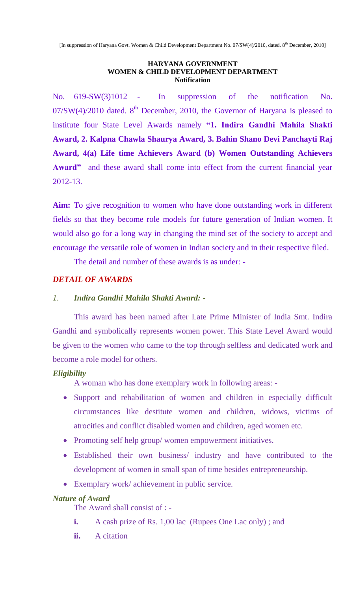#### **HARYANA GOVERNMENT WOMEN & CHILD DEVELOPMENT DEPARTMENT Notification**

No. 619-SW(3)1012 - In suppression of the notification No.  $07/SW(4)/2010$  dated. 8<sup>th</sup> December, 2010, the Governor of Haryana is pleased to institute four State Level Awards namely **"1. Indira Gandhi Mahila Shakti Award, 2. Kalpna Chawla Shaurya Award, 3. Bahin Shano Devi Panchayti Raj Award, 4(a) Life time Achievers Award (b) Women Outstanding Achievers**  Award" and these award shall come into effect from the current financial year 2012-13.

**Aim:** To give recognition to women who have done outstanding work in different fields so that they become role models for future generation of Indian women. It would also go for a long way in changing the mind set of the society to accept and encourage the versatile role of women in Indian society and in their respective filed.

The detail and number of these awards is as under: -

#### *DETAIL OF AWARDS*

#### *1. Indira Gandhi Mahila Shakti Award: -*

This award has been named after Late Prime Minister of India Smt. Indira Gandhi and symbolically represents women power. This State Level Award would be given to the women who came to the top through selfless and dedicated work and become a role model for others.

#### *Eligibility*

A woman who has done exemplary work in following areas: -

- Support and rehabilitation of women and children in especially difficult circumstances like destitute women and children, widows, victims of atrocities and conflict disabled women and children, aged women etc.
- Promoting self help group/ women empowerment initiatives.
- Established their own business/ industry and have contributed to the development of women in small span of time besides entrepreneurship.
- Exemplary work/ achievement in public service.

#### *Nature of Award*

The Award shall consist of : -

- **i.** A cash prize of Rs. 1,00 lac (Rupees One Lac only); and
- **ii.** A citation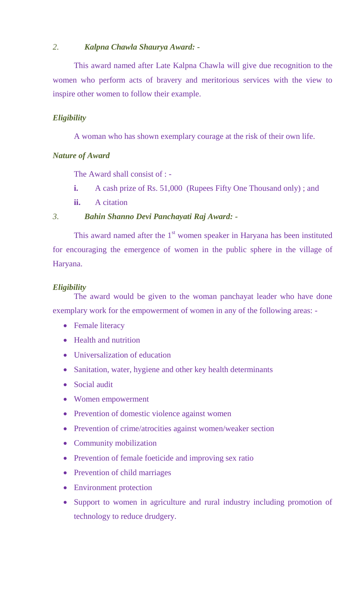#### *2. Kalpna Chawla Shaurya Award: -*

This award named after Late Kalpna Chawla will give due recognition to the women who perform acts of bravery and meritorious services with the view to inspire other women to follow their example.

### *Eligibility*

A woman who has shown exemplary courage at the risk of their own life.

#### *Nature of Award*

The Award shall consist of : -

- **i.** A cash prize of Rs. 51,000 (Rupees Fifty One Thousand only); and
- **ii.** A citation

#### *3. Bahin Shanno Devi Panchayati Raj Award: -*

This award named after the  $1<sup>st</sup>$  women speaker in Haryana has been instituted for encouraging the emergence of women in the public sphere in the village of Haryana.

#### *Eligibility*

The award would be given to the woman panchayat leader who have done exemplary work for the empowerment of women in any of the following areas: -

- Female literacy
- Health and nutrition
- Universalization of education
- Sanitation, water, hygiene and other key health determinants
- Social audit
- Women empowerment
- Prevention of domestic violence against women
- Prevention of crime/atrocities against women/weaker section
- Community mobilization
- Prevention of female foeticide and improving sex ratio
- Prevention of child marriages
- Environment protection
- Support to women in agriculture and rural industry including promotion of technology to reduce drudgery.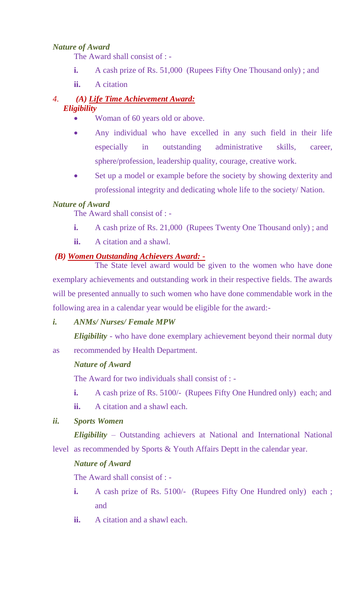## *Nature of Award*

The Award shall consist of : -

- **i.** A cash prize of Rs. 51,000 (Rupees Fifty One Thousand only); and
- **ii.** A citation

# *4. (A) Life Time Achievement Award:*

### *Eligibility*

- Woman of 60 years old or above.
- Any individual who have excelled in any such field in their life especially in outstanding administrative skills, career, sphere/profession, leadership quality, courage, creative work.
- Set up a model or example before the society by showing dexterity and professional integrity and dedicating whole life to the society/ Nation.

### *Nature of Award*

The Award shall consist of : -

- **i.** A cash prize of Rs. 21,000 (Rupees Twenty One Thousand only); and
- **ii.** A citation and a shawl.

#### *(B) Women Outstanding Achievers Award: -*

The State level award would be given to the women who have done exemplary achievements and outstanding work in their respective fields. The awards will be presented annually to such women who have done commendable work in the following area in a calendar year would be eligible for the award:-

#### *i. ANMs/ Nurses/ Female MPW*

*Eligibility* - who have done exemplary achievement beyond their normal duty

as recommended by Health Department.

#### *Nature of Award*

The Award for two individuals shall consist of : -

- **i.** A cash prize of Rs. 5100/- (Rupees Fifty One Hundred only) each; and
- **ii.** A citation and a shawl each.

### *ii. Sports Women*

*Eligibility* – Outstanding achievers at National and International National level as recommended by Sports & Youth Affairs Deptt in the calendar year.

### *Nature of Award*

The Award shall consist of : -

- **i.** A cash prize of Rs. 5100/- (Rupees Fifty One Hundred only) each; and
- **ii.** A citation and a shawl each.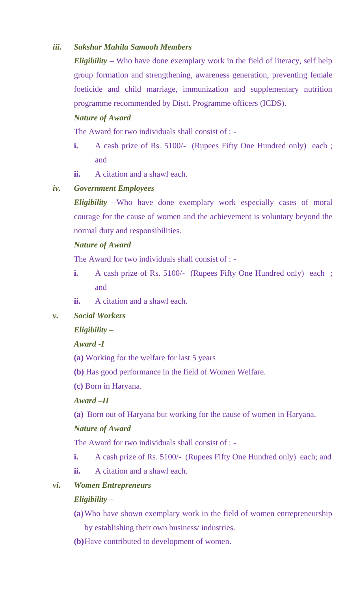## *iii. Sakshar Mahila Samooh Members*

*Eligibility* **–** Who have done exemplary work in the field of literacy, self help group formation and strengthening, awareness generation, preventing female foeticide and child marriage, immunization and supplementary nutrition programme recommended by Distt. Programme officers (ICDS).

## *Nature of Award*

The Award for two individuals shall consist of : -

- **i.** A cash prize of Rs. 5100/- (Rupees Fifty One Hundred only) each ; and
- **ii.** A citation and a shawl each.

## *iv. Government Employees*

*Eligibility* –Who have done exemplary work especially cases of moral courage for the cause of women and the achievement is voluntary beyond the normal duty and responsibilities.

### *Nature of Award*

The Award for two individuals shall consist of : -

- **i.** A cash prize of Rs. 5100/- (Rupees Fifty One Hundred only) each; and
- **ii.** A citation and a shawl each.
- *v. Social Workers*

# *Eligibility –*

# *Award -I*

- **(a)** Working for the welfare for last 5 years
- **(b)** Has good performance in the field of Women Welfare.
- **(c)** Born in Haryana.

### *Award –II*

**(a)** Born out of Haryana but working for the cause of women in Haryana.

### *Nature of Award*

The Award for two individuals shall consist of : -

- **i.** A cash prize of Rs. 5100/- (Rupees Fifty One Hundred only) each; and
- **ii.** A citation and a shawl each.
- *vi. Women Entrepreneurs*

### *Eligibility –*

- **(a)**Who have shown exemplary work in the field of women entrepreneurship by establishing their own business/ industries.
- **(b)**Have contributed to development of women.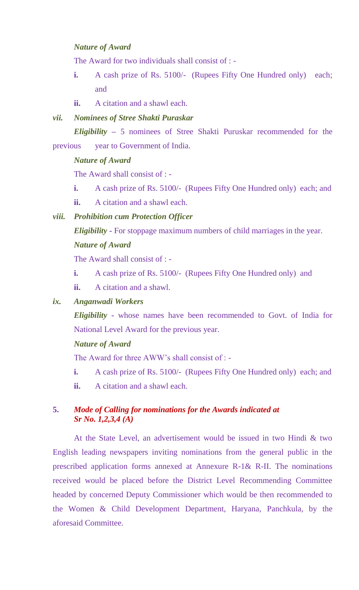### *Nature of Award*

The Award for two individuals shall consist of : -

- **i.** A cash prize of Rs. 5100/- (Rupees Fifty One Hundred only) each; and
- **ii.** A citation and a shawl each.

### *vii. Nominees of Stree Shakti Puraskar*

*Eligibility* **–** 5 nominees of Stree Shakti Puruskar recommended for the previous year to Government of India.

#### *Nature of Award*

The Award shall consist of : -

- **i.** A cash prize of Rs. 5100/- (Rupees Fifty One Hundred only) each; and
- **ii.** A citation and a shawl each.

#### *viii. Prohibition cum Protection Officer*

*Eligibility* **-** For stoppage maximum numbers of child marriages in the year. *Nature of Award* 

The Award shall consist of : -

- **i.** A cash prize of Rs. 5100/- (Rupees Fifty One Hundred only) and
- **ii.** A citation and a shawl.

### *ix. Anganwadi Workers*

*Eligibility* **-** whose names have been recommended to Govt. of India for National Level Award for the previous year.

#### *Nature of Award*

The Award for three AWW's shall consist of : -

- **i.** A cash prize of Rs. 5100/- (Rupees Fifty One Hundred only) each; and
- **ii.** A citation and a shawl each.

#### **5.** *Mode of Calling for nominations for the Awards indicated at Sr No. 1,2,3,4 (A)*

At the State Level, an advertisement would be issued in two Hindi & two English leading newspapers inviting nominations from the general public in the prescribed application forms annexed at Annexure R-1& R-II. The nominations received would be placed before the District Level Recommending Committee headed by concerned Deputy Commissioner which would be then recommended to the Women & Child Development Department, Haryana, Panchkula, by the aforesaid Committee.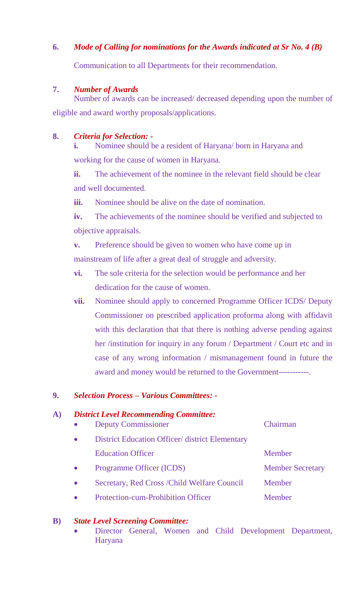# **6.** *Mode of Calling for nominations for the Awards indicated at Sr No. 4 (B)*

Communication to all Departments for their recommendation.

#### **7.** *Number of Awards*

Number of awards can be increased/ decreased depending upon the number of eligible and award worthy proposals/applications.

### **8.** *Criteria for Selection: -*

**i.** Nominee should be a resident of Haryana/ born in Haryana and working for the cause of women in Haryana.

**ii.** The achievement of the nominee in the relevant field should be clear and well documented.

**iii.** Nominee should be alive on the date of nomination.

**iv.** The achievements of the nominee should be verified and subjected to objective appraisals.

**v.** Preference should be given to women who have come up in

mainstream of life after a great deal of struggle and adversity.

- **vi.** The sole criteria for the selection would be performance and her dedication for the cause of women.
- **vii.** Nominee should apply to concerned Programme Officer ICDS/ Deputy Commissioner on prescribed application proforma along with affidavit with this declaration that that there is nothing adverse pending against her /institution for inquiry in any forum / Department / Court etc and in case of any wrong information / mismanagement found in future the award and money would be returned to the Government-----------.

### **9.** *Selection Process – Various Committees: -*

### **A)** *District Level Recommending Committee:*

| <b>Deputy Commissioner</b>                      | Chairman                |
|-------------------------------------------------|-------------------------|
| District Education Officer/ district Elementary |                         |
| <b>Education Officer</b>                        | Member                  |
| Programme Officer (ICDS)                        | <b>Member Secretary</b> |
| Secretary, Red Cross / Child Welfare Council    | Member                  |
| <b>Protection-cum-Prohibition Officer</b>       | Member                  |

#### **B)** *State Level Screening Committee:*

 Director General, Women and Child Development Department, Haryana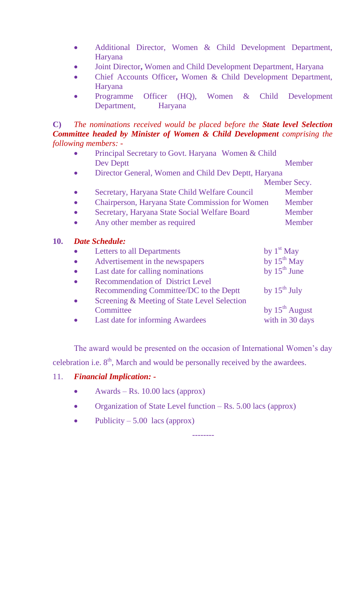- Additional Director, Women & Child Development Department, Haryana
- Joint Director**,** Women and Child Development Department, Haryana
- Chief Accounts Officer**,** Women & Child Development Department, Haryana
- Programme Officer (HQ), Women & Child Development Department, Haryana

**C)** *The nominations received would be placed before the State level Selection Committee headed by Minister of Women & Child Development comprising the following members: -*

 Principal Secretary to Govt. Haryana Women & Child Dev Deptt Member Director General, Women and Child Dev Deptt, Haryana Member Secy. • Secretary, Haryana State Child Welfare Council Member • Chairperson, Haryana State Commission for Women Member Secretary, Haryana State Social Welfare Board Member • Any other member as required Member

## **10.** *Date Schedule:*

| $\bullet$ | <b>Letters to all Departments</b>            | by $1st$ May        |
|-----------|----------------------------------------------|---------------------|
| $\bullet$ | Advertisement in the newspapers              | by $15^{th}$ May    |
| $\bullet$ | Last date for calling nominations            | by $15^{th}$ June   |
| $\bullet$ | <b>Recommendation of District Level</b>      |                     |
|           | Recommending Committee/DC to the Deptt       | by $15^{th}$ July   |
| $\bullet$ | Screening & Meeting of State Level Selection |                     |
|           | Committee                                    | by $15^{th}$ August |
|           | Last date for informing Awardees             | with in 30 days     |

The award would be presented on the occasion of International Women's day celebration i.e.  $8<sup>th</sup>$ , March and would be personally received by the awardees.

### 11. *Financial Implication: -*

- Awards Rs.  $10.00$  lacs (approx)
- Organization of State Level function  $-Rs. 5.00$  lacs (approx)

--------

• Publicity – 5.00 lacs (approx)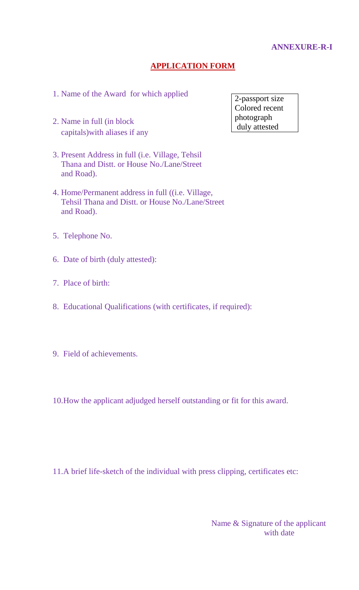#### **ANNEXURE-R-I**

#### **APPLICATION FORM**

- 1. Name of the Award for which applied
- 2. Name in full (in block capitals)with aliases if any
- 3. Present Address in full (i.e. Village, Tehsil Thana and Distt. or House No./Lane/Street and Road).
- 4. Home/Permanent address in full ((i.e. Village, Tehsil Thana and Distt. or House No./Lane/Street and Road).
- 5. Telephone No.
- 6. Date of birth (duly attested):
- 7. Place of birth:
- 8. Educational Qualifications (with certificates, if required):
- 9. Field of achievements.
- 10.How the applicant adjudged herself outstanding or fit for this award.

11.A brief life-sketch of the individual with press clipping, certificates etc:

Name & Signature of the applicant with date

2-passport size Colored recent photograph duly attested